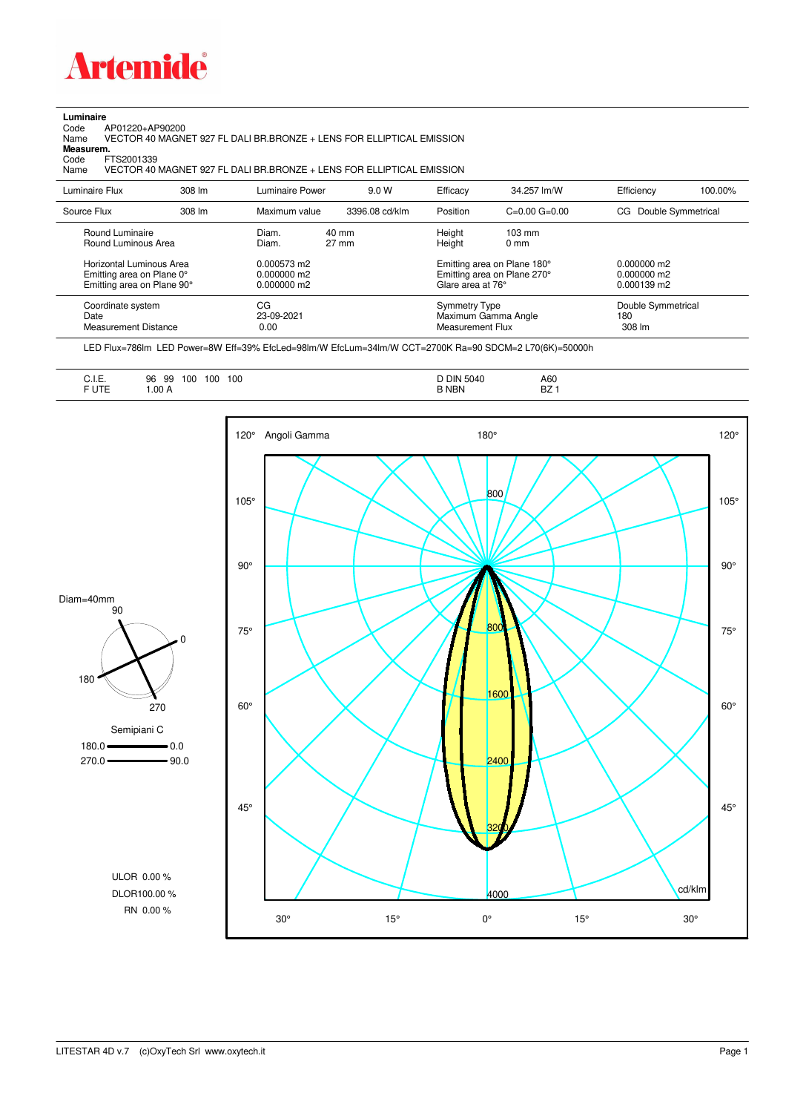

## **Luminaire**<br>Code<br>Name

Code AP01220+AP90200 Name VECTOR 40 MAGNET 927 FL DALI BR.BRONZE + LENS FOR ELLIPTICAL EMISSION

**Measurem.**

Code FTS2001339<br>Name VECTOR 40 Name VECTOR 40 MAGNET 927 FL DALI BR.BRONZE + LENS FOR ELLIPTICAL EMISSION

| Luminaire Flux                                                                                                                | 308 lm | Luminaire Power                                                 | 9.0 W                              | Efficacy                                 | 34.257 lm/W                                                                                      | Efficiency                                      | 100.00% |
|-------------------------------------------------------------------------------------------------------------------------------|--------|-----------------------------------------------------------------|------------------------------------|------------------------------------------|--------------------------------------------------------------------------------------------------|-------------------------------------------------|---------|
| Source Flux                                                                                                                   | 308 lm | Maximum value                                                   | 3396.08 cd/klm                     | Position                                 | $C=0.00$ $G=0.00$                                                                                | Double Symmetrical<br>CG.                       |         |
| Round Luminaire<br>Round Luminous Area<br>Horizontal Luminous Area<br>Emitting area on Plane 0°<br>Emitting area on Plane 90° |        | Diam.<br>Diam.<br>0.000573 m2<br>$0.000000$ m2<br>$0.000000$ m2 | $40 \text{ mm}$<br>$27 \text{ mm}$ | Height<br>Height<br>Glare area at 76°    | $103 \text{ mm}$<br>$0 \text{ mm}$<br>Emitting area on Plane 180°<br>Emitting area on Plane 270° | $0.000000$ m2<br>$0.000000$ m2<br>$0.000139$ m2 |         |
| Coordinate system<br>Date<br>Measurement Distance                                                                             |        | CG<br>23-09-2021<br>0.00                                        |                                    | Symmetry Type<br><b>Measurement Flux</b> | Maximum Gamma Angle                                                                              | Double Symmetrical<br>180<br>308 lm             |         |

LED Flux=786lm LED Power=8W Eff=39% EfcLed=98lm/W EfcLum=34lm/W CCT=2700K Ra=90 SDCM=2 L70(6K)=50000h

| <b>D DIN 5040</b><br>A60<br>100<br>100<br>100<br>99<br>ັບ<br>-<br>57.<br><b>FUTE</b><br><b>B NBN</b><br>.00A<br>DZ.<br>_____<br>$\sim$ $\sim$ $\sim$ |
|------------------------------------------------------------------------------------------------------------------------------------------------------|
|------------------------------------------------------------------------------------------------------------------------------------------------------|